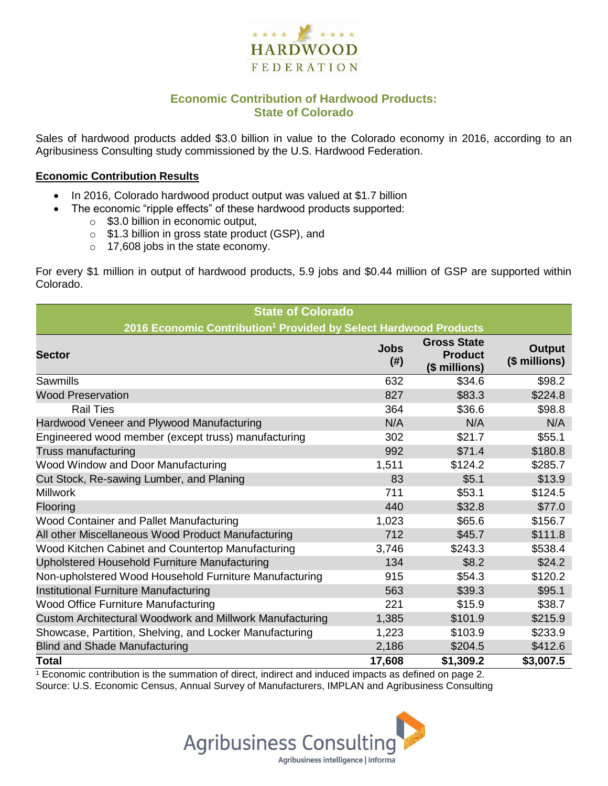

# **Economic Contribution of Hardwood Products: State of Colorado**

Sales of hardwood products added \$3.0 billion in value to the Colorado economy in 2016, according to an Agribusiness Consulting study commissioned by the U.S. Hardwood Federation.

#### **Economic Contribution Results**

- In 2016, Colorado hardwood product output was valued at \$1.7 billion
- The economic "ripple effects" of these hardwood products supported:
	- o \$3.0 billion in economic output,
	- o \$1.3 billion in gross state product (GSP), and
	- o 17,608 jobs in the state economy.

For every \$1 million in output of hardwood products, 5.9 jobs and \$0.44 million of GSP are supported within Colorado.

| <b>State of Colorado</b>                                                     |                     |                                                       |                         |  |  |
|------------------------------------------------------------------------------|---------------------|-------------------------------------------------------|-------------------------|--|--|
| 2016 Economic Contribution <sup>1</sup> Provided by Select Hardwood Products |                     |                                                       |                         |  |  |
| <b>Sector</b>                                                                | <b>Jobs</b><br>(# ) | <b>Gross State</b><br><b>Product</b><br>(\$ millions) | Output<br>(\$ millions) |  |  |
| Sawmills                                                                     | 632                 | \$34.6                                                | \$98.2                  |  |  |
| <b>Wood Preservation</b>                                                     | 827                 | \$83.3                                                | \$224.8                 |  |  |
| <b>Rail Ties</b>                                                             | 364                 | \$36.6                                                | \$98.8                  |  |  |
| Hardwood Veneer and Plywood Manufacturing                                    | N/A                 | N/A                                                   | N/A                     |  |  |
| Engineered wood member (except truss) manufacturing                          | 302                 | \$21.7                                                | \$55.1                  |  |  |
| Truss manufacturing                                                          | 992                 | \$71.4                                                | \$180.8                 |  |  |
| Wood Window and Door Manufacturing                                           | 1,511               | \$124.2                                               | \$285.7                 |  |  |
| Cut Stock, Re-sawing Lumber, and Planing                                     | 83                  | \$5.1                                                 | \$13.9                  |  |  |
| <b>Millwork</b>                                                              | 711                 | \$53.1                                                | \$124.5                 |  |  |
| Flooring                                                                     | 440                 | \$32.8                                                | \$77.0                  |  |  |
| Wood Container and Pallet Manufacturing                                      | 1,023               | \$65.6                                                | \$156.7                 |  |  |
| All other Miscellaneous Wood Product Manufacturing                           | 712                 | \$45.7                                                | \$111.8                 |  |  |
| Wood Kitchen Cabinet and Countertop Manufacturing                            | 3,746               | \$243.3                                               | \$538.4                 |  |  |
| Upholstered Household Furniture Manufacturing                                | 134                 | \$8.2                                                 | \$24.2                  |  |  |
| Non-upholstered Wood Household Furniture Manufacturing                       | 915                 | \$54.3                                                | \$120.2                 |  |  |
| Institutional Furniture Manufacturing                                        | 563                 | \$39.3                                                | \$95.1                  |  |  |
| <b>Wood Office Furniture Manufacturing</b>                                   | 221                 | \$15.9                                                | \$38.7                  |  |  |
| Custom Architectural Woodwork and Millwork Manufacturing                     | 1,385               | \$101.9                                               | \$215.9                 |  |  |
| Showcase, Partition, Shelving, and Locker Manufacturing                      | 1,223               | \$103.9                                               | \$233.9                 |  |  |
| <b>Blind and Shade Manufacturing</b>                                         | 2,186               | \$204.5                                               | \$412.6                 |  |  |
| <b>Total</b>                                                                 | 17,608              | \$1,309.2                                             | \$3,007.5               |  |  |

 $1$  Economic contribution is the summation of direct, indirect and induced impacts as defined on page 2. Source: U.S. Economic Census, Annual Survey of Manufacturers, IMPLAN and Agribusiness Consulting